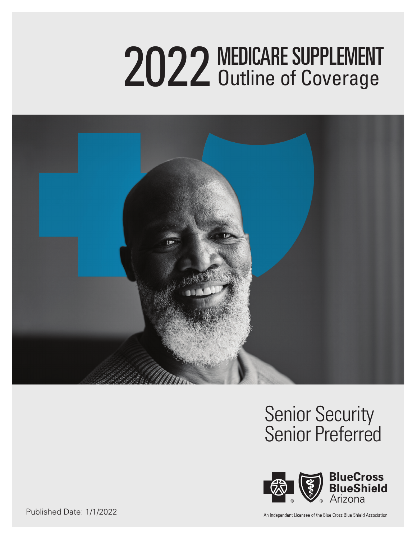# 2022 MEDICARE SUPPLEMENT Outline of Coverage



# Senior Security Senior Preferred



Published Date: 1/1/2022

An Independent Licensee of the Blue Cross Blue Shield Association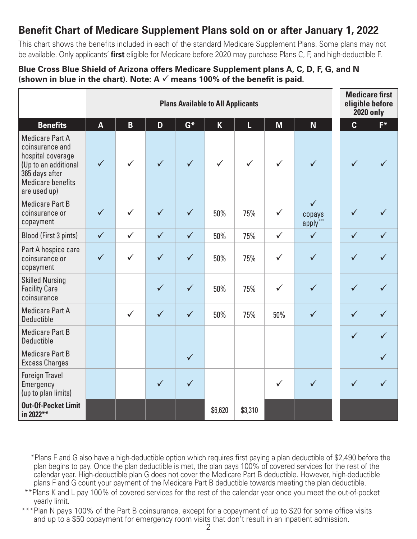### **Benefit Chart of Medicare Supplement Plans sold on or after January 1, 2022**

This chart shows the benefits included in each of the standard Medicare Supplement Plans. Some plans may not be available. Only applicants' **first** eligible for Medicare before 2020 may purchase Plans C, F, and high-deductible F.

#### **Blue Cross Blue Shield of Arizona offers Medicare Supplement plans A, C, D, F, G, and N (shown in blue in the chart). Note: A** ✓ **means 100% of the benefit is paid.**

|                                                                                                                                               |                         | <b>Plans Available to All Applicants</b> |              |              |                         |              |              |                                    |                | <b>Medicare first</b><br>eligible before<br><b>2020 only</b> |  |
|-----------------------------------------------------------------------------------------------------------------------------------------------|-------------------------|------------------------------------------|--------------|--------------|-------------------------|--------------|--------------|------------------------------------|----------------|--------------------------------------------------------------|--|
| <b>Benefits</b>                                                                                                                               | $\overline{\mathsf{A}}$ | $\overline{B}$                           | D            | $G^*$        | $\overline{\mathsf{K}}$ | L            | M            | N <sub>1</sub>                     | $\overline{c}$ | F*                                                           |  |
| <b>Medicare Part A</b><br>coinsurance and<br>hospital coverage<br>(Up to an additional<br>365 days after<br>Medicare benefits<br>are used up) | $\checkmark$            | $\checkmark$                             | ✓            | $\checkmark$ | $\checkmark$            | $\checkmark$ | $\checkmark$ | ✓                                  | $\checkmark$   |                                                              |  |
| <b>Medicare Part B</b><br>coinsurance or<br>copayment                                                                                         | $\checkmark$            | ✓                                        | ✓            | $\checkmark$ | 50%                     | 75%          | $\checkmark$ | $\checkmark$<br>copays<br>apply*** | ✓              |                                                              |  |
| Blood (First 3 pints)                                                                                                                         | $\checkmark$            | $\checkmark$                             | $\checkmark$ | $\checkmark$ | 50%                     | 75%          | $\checkmark$ | $\checkmark$                       | $\checkmark$   |                                                              |  |
| Part A hospice care<br>coinsurance or<br>copayment                                                                                            | $\checkmark$            | $\checkmark$                             | $\checkmark$ | $\checkmark$ | 50%                     | 75%          | $\checkmark$ | $\checkmark$                       | $\checkmark$   |                                                              |  |
| <b>Skilled Nursing</b><br><b>Facility Care</b><br>coinsurance                                                                                 |                         |                                          | $\checkmark$ | $\checkmark$ | 50%                     | 75%          | $\checkmark$ | $\checkmark$                       | $\checkmark$   | $\checkmark$                                                 |  |
| <b>Medicare Part A</b><br><b>Deductible</b>                                                                                                   |                         | $\checkmark$                             | $\checkmark$ | $\checkmark$ | 50%                     | 75%          | 50%          | $\checkmark$                       | $\checkmark$   | $\checkmark$                                                 |  |
| <b>Medicare Part B</b><br><b>Deductible</b>                                                                                                   |                         |                                          |              |              |                         |              |              |                                    | $\checkmark$   | $\checkmark$                                                 |  |
| <b>Medicare Part B</b><br><b>Excess Charges</b>                                                                                               |                         |                                          |              | $\checkmark$ |                         |              |              |                                    |                | $\checkmark$                                                 |  |
| <b>Foreign Travel</b><br>Emergency<br>(up to plan limits)                                                                                     |                         |                                          | $\checkmark$ | $\checkmark$ |                         |              | $\checkmark$ | $\checkmark$                       | $\checkmark$   | $\checkmark$                                                 |  |
| <b>Out-Of-Pocket Limit</b><br>in 2022**                                                                                                       |                         |                                          |              |              | \$6,620                 | \$3,310      |              |                                    |                |                                                              |  |

\*Plans F and G also have a high-deductible option which requires first paying a plan deductible of \$2,490 before the plan begins to pay. Once the plan deductible is met, the plan pays 100% of covered services for the rest of the calendar year. High-deductible plan G does not cover the Medicare Part B deductible. However, high-deductible plans F and G count your payment of the Medicare Part B deductible towards meeting the plan deductible.

\*\*Plans K and L pay 100% of covered services for the rest of the calendar year once you meet the out-of-pocket yearly limit.

\*\*\*Plan N pays 100% of the Part B coinsurance, except for a copayment of up to \$20 for some office visits and up to a \$50 copayment for emergency room visits that don't result in an inpatient admission.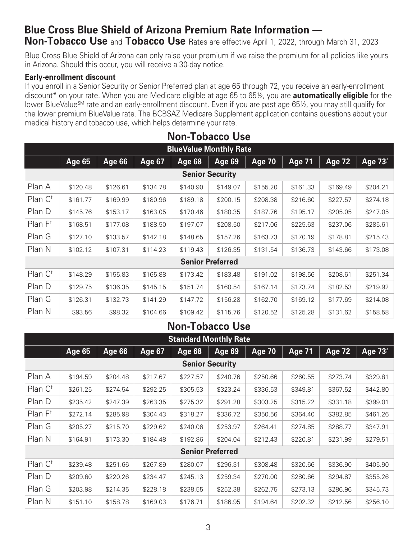# **Blue Cross Blue Shield of Arizona Premium Rate Information —**

**Non-Tobacco Use** and **Tobacco Use** Rates are effective April 1, 2022, through March 31, 2023

Blue Cross Blue Shield of Arizona can only raise your premium if we raise the premium for all policies like yours in Arizona. Should this occur, you will receive a 30-day notice.

#### **Early-enrollment discount**

If you enroll in a Senior Security or Senior Preferred plan at age 65 through 72, you receive an early-enrollment discount\* on your rate. When you are Medicare eligible at age 65 to 65½, you are **automatically eligible** for the lower BlueValue<sup>SM</sup> rate and an early-enrollment discount. Even if you are past age 65½, you may still qualify for the lower premium BlueValue rate. The BCBSAZ Medicare Supplement application contains questions about your medical history and tobacco use, which helps determine your rate.

|                               | <b>Non-Tobacco Use</b> |               |               |          |                         |               |               |               |            |  |
|-------------------------------|------------------------|---------------|---------------|----------|-------------------------|---------------|---------------|---------------|------------|--|
| <b>BlueValue Monthly Rate</b> |                        |               |               |          |                         |               |               |               |            |  |
|                               | $\overline{Age}$ 65    | <b>Age 66</b> | <b>Age 67</b> | Age 68   | Age $69$                | <b>Age 70</b> | <b>Age 71</b> | <b>Age 72</b> | Age $73^f$ |  |
| <b>Senior Security</b>        |                        |               |               |          |                         |               |               |               |            |  |
| Plan A                        | \$120.48               | \$126.61      | \$134.78      | \$140.90 | \$149.07                | \$155.20      | \$161.33      | \$169.49      | \$204.21   |  |
| Plan $C^{\dagger}$            | \$161.77               | \$169.99      | \$180.96      | \$189.18 | \$200.15                | \$208.38      | \$216.60      | \$227.57      | \$274.18   |  |
| Plan D                        | \$145.76               | \$153.17      | \$163.05      | \$170.46 | \$180.35                | \$187.76      | \$195.17      | \$205.05      | \$247.05   |  |
| Plan F <sup>†</sup>           | \$168.51               | \$177.08      | \$188.50      | \$197.07 | \$208.50                | \$217.06      | \$225.63      | \$237.06      | \$285.61   |  |
| Plan G                        | \$127.10               | \$133.57      | \$142.18      | \$148.65 | \$157.26                | \$163.73      | \$170.19      | \$178.81      | \$215.43   |  |
| Plan N                        | \$102.12               | \$107.31      | \$114.23      | \$119.43 | \$126.35                | \$131.54      | \$136.73      | \$143.66      | \$173.08   |  |
|                               |                        |               |               |          | <b>Senior Preferred</b> |               |               |               |            |  |
| Plan $C^{\dagger}$            | \$148.29               | \$155.83      | \$165.88      | \$173.42 | \$183.48                | \$191.02      | \$198.56      | \$208.61      | \$251.34   |  |
| Plan D                        | \$129.75               | \$136.35      | \$145.15      | \$151.74 | \$160.54                | \$167.14      | \$173.74      | \$182.53      | \$219.92   |  |
| Plan G                        | \$126.31               | \$132.73      | \$141.29      | \$147.72 | \$156.28                | \$162.70      | \$169.12      | \$177.69      | \$214.08   |  |
| Plan N                        | \$93.56                | \$98.32       | \$104.66      | \$109.42 | \$115.76                | \$120.52      | \$125.28      | \$131.62      | \$158.58   |  |

### **Non-Tobacco Use**

|                        | <b>Standard Monthly Rate</b> |          |               |               |                         |               |               |               |            |  |  |
|------------------------|------------------------------|----------|---------------|---------------|-------------------------|---------------|---------------|---------------|------------|--|--|
|                        | <b>Age 65</b>                | Age 66   | <b>Age 67</b> | <b>Age 68</b> | Age 69                  | <b>Age 70</b> | <b>Age 71</b> | <b>Age 72</b> | Age $73^f$ |  |  |
| <b>Senior Security</b> |                              |          |               |               |                         |               |               |               |            |  |  |
| Plan A                 | \$194.59                     | \$204.48 | \$217.67      | \$227.57      | \$240.76                | \$250.66      | \$260.55      | \$273.74      | \$329.81   |  |  |
| Plan C <sup>t</sup>    | \$261.25                     | \$274.54 | \$292.25      | \$305.53      | \$323.24                | \$336.53      | \$349.81      | \$367.52      | \$442.80   |  |  |
| Plan D                 | \$235.42                     | \$247.39 | \$263.35      | \$275.32      | \$291.28                | \$303.25      | \$315.22      | \$331.18      | \$399.01   |  |  |
| Plan F <sup>†</sup>    | \$272.14                     | \$285.98 | \$304.43      | \$318.27      | \$336.72                | \$350.56      | \$364.40      | \$382.85      | \$461.26   |  |  |
| Plan G                 | \$205.27                     | \$215.70 | \$229.62      | \$240.06      | \$253.97                | \$264.41      | \$274.85      | \$288.77      | \$347.91   |  |  |
| Plan N                 | \$164.91                     | \$173.30 | \$184.48      | \$192.86      | \$204.04                | \$212.43      | \$220.81      | \$231.99      | \$279.51   |  |  |
|                        |                              |          |               |               | <b>Senior Preferred</b> |               |               |               |            |  |  |
| Plan $C^{\dagger}$     | \$239.48                     | \$251.66 | \$267.89      | \$280.07      | \$296.31                | \$308.48      | \$320.66      | \$336.90      | \$405.90   |  |  |
| Plan D                 | \$209.60                     | \$220.26 | \$234.47      | \$245.13      | \$259.34                | \$270.00      | \$280.66      | \$294.87      | \$355.26   |  |  |
| Plan G                 | \$203.98                     | \$214.35 | \$228.18      | \$238.55      | \$252.38                | \$262.75      | \$273.13      | \$286.96      | \$345.73   |  |  |
| Plan N                 | \$151.10                     | \$158.78 | \$169.03      | \$176.71      | \$186.95                | \$194.64      | \$202.32      | \$212.56      | \$256.10   |  |  |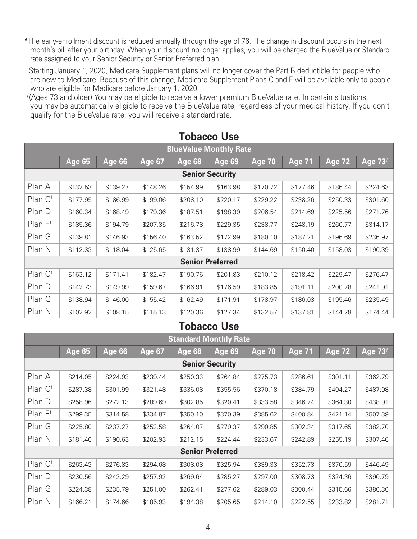- \*The early-enrollment discount is reduced annually through the age of 76. The change in discount occurs in the next month's bill after your birthday. When your discount no longer applies, you will be charged the BlueValue or Standard rate assigned to your Senior Security or Senior Preferred plan.
- †Starting January 1, 2020, Medicare Supplement plans will no longer cover the Part B deductible for people who are new to Medicare. Because of this change, Medicare Supplement Plans C and F will be available only to people who are eligible for Medicare before January 1, 2020.
- $f(A)$ ges 73 and older) You may be eligible to receive a lower premium BlueValue rate. In certain situations, you may be automatically eligible to receive the BlueValue rate, regardless of your medical history. If you don't qualify for the BlueValue rate, you will receive a standard rate.

| <b>BlueValue Monthly Rate</b> |               |          |          |               |                         |               |               |               |            |  |
|-------------------------------|---------------|----------|----------|---------------|-------------------------|---------------|---------------|---------------|------------|--|
|                               | <b>Age 65</b> | Age 66   | Age 67   | <b>Age 68</b> | Age 69                  | <b>Age 70</b> | <b>Age 71</b> | <b>Age 72</b> | Age $73^f$ |  |
| <b>Senior Security</b>        |               |          |          |               |                         |               |               |               |            |  |
| Plan A                        | \$132.53      | \$139.27 | \$148.26 | \$154.99      | \$163.98                | \$170.72      | \$177.46      | \$186.44      | \$224.63   |  |
| Plan $C^{\dagger}$            | \$177.95      | \$186.99 | \$199.06 | \$208.10      | \$220.17                | \$229.22      | \$238.26      | \$250.33      | \$301.60   |  |
| Plan D                        | \$160.34      | \$168.49 | \$179.36 | \$187.51      | \$198.39                | \$206.54      | \$214.69      | \$225.56      | \$271.76   |  |
| Plan $F^{\dagger}$            | \$185.36      | \$194.79 | \$207.35 | \$216.78      | \$229.35                | \$238.77      | \$248.19      | \$260.77      | \$314.17   |  |
| Plan G                        | \$139.81      | \$146.93 | \$156.40 | \$163.52      | \$172.99                | \$180.10      | \$187.21      | \$196.69      | \$236.97   |  |
| Plan N                        | \$112.33      | \$118.04 | \$125.65 | \$131.37      | \$138.99                | \$144.69      | \$150.40      | \$158.03      | \$190.39   |  |
|                               |               |          |          |               | <b>Senior Preferred</b> |               |               |               |            |  |
| Plan C <sup>t</sup>           | \$163.12      | \$171.41 | \$182.47 | \$190.76      | \$201.83                | \$210.12      | \$218.42      | \$229.47      | \$276.47   |  |
| Plan D                        | \$142.73      | \$149.99 | \$159.67 | \$166.91      | \$176.59                | \$183.85      | \$191.11      | \$200.78      | \$241.91   |  |
| Plan G                        | \$138.94      | \$146.00 | \$155.42 | \$162.49      | \$171.91                | \$178.97      | \$186.03      | \$195.46      | \$235.49   |  |
| Plan N                        | \$102.92      | \$108.15 | \$115.13 | \$120.36      | \$127.34                | \$132.57      | \$137.81      | \$144.78      | \$174.44   |  |

### **Tobacco Use**

### **Tobacco Use**

| <b>Standard Monthly Rate</b> |          |               |          |          |                         |               |               |               |          |  |
|------------------------------|----------|---------------|----------|----------|-------------------------|---------------|---------------|---------------|----------|--|
|                              | Age $65$ | <b>Age 66</b> | Age 67   | Age 68   | Age $69$                | <b>Age 70</b> | <u>Age 71</u> | <b>Age 72</b> | Age 73f  |  |
| <b>Senior Security</b>       |          |               |          |          |                         |               |               |               |          |  |
| Plan A                       | \$214.05 | \$224.93      | \$239.44 | \$250.33 | \$264.84                | \$275.73      | \$286.61      | \$301.11      | \$362.79 |  |
| Plan C <sup>†</sup>          | \$287.38 | \$301.99      | \$321.48 | \$336.08 | \$355.56                | \$370.18      | \$384.79      | \$404.27      | \$487.08 |  |
| Plan D                       | \$258.96 | \$272.13      | \$289.69 | \$302.85 | \$320.41                | \$333.58      | \$346.74      | \$364.30      | \$438.91 |  |
| Plan F <sup>†</sup>          | \$299.35 | \$314.58      | \$334.87 | \$350.10 | \$370.39                | \$385.62      | \$400.84      | \$421.14      | \$507.39 |  |
| Plan G                       | \$225.80 | \$237.27      | \$252.58 | \$264.07 | \$279.37                | \$290.85      | \$302.34      | \$317.65      | \$382.70 |  |
| Plan N                       | \$181.40 | \$190.63      | \$202.93 | \$212.15 | \$224.44                | \$233.67      | \$242.89      | \$255.19      | \$307.46 |  |
|                              |          |               |          |          | <b>Senior Preferred</b> |               |               |               |          |  |
| Plan $C^{\dagger}$           | \$263.43 | \$276.83      | \$294.68 | \$308.08 | \$325.94                | \$339.33      | \$352.73      | \$370.59      | \$446.49 |  |
| Plan D                       | \$230.56 | \$242.29      | \$257.92 | \$269.64 | \$285.27                | \$297.00      | \$308.73      | \$324.36      | \$390.79 |  |
| Plan G                       | \$224.38 | \$235.79      | \$251.00 | \$262.41 | \$277.62                | \$289.03      | \$300.44      | \$315.66      | \$380.30 |  |
| Plan N                       | \$166.21 | \$174.66      | \$185.93 | \$194.38 | \$205.65                | \$214.10      | \$222.55      | \$233.82      | \$281.71 |  |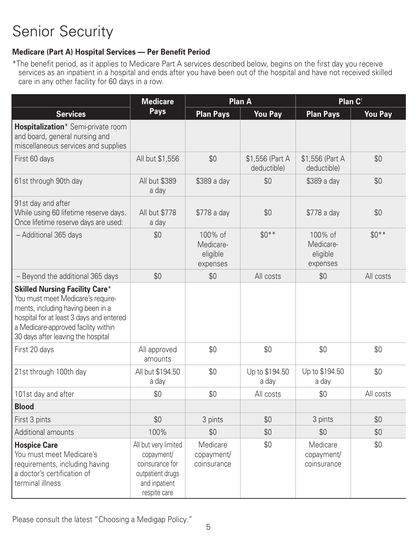### **Medicare (Part A) Hospital Services — Per Benefit Period**

\*The benefit period, as it applies to Medicare Part A services described below, begins on the first day you receive services as an inpatient in a hospital and ends after you have been out of the hospital and have not received skilled care in any other facility for 60 days in a row.

|                                                                                                                                                                                                                                          | <b>Medicare</b>                                                                                            |                                              | Plan A                         | Plan C <sup>t</sup>                          |                |  |
|------------------------------------------------------------------------------------------------------------------------------------------------------------------------------------------------------------------------------------------|------------------------------------------------------------------------------------------------------------|----------------------------------------------|--------------------------------|----------------------------------------------|----------------|--|
| <b>Services</b>                                                                                                                                                                                                                          | <b>Pays</b>                                                                                                | <b>Plan Pays</b>                             | <b>You Pay</b>                 | <b>Plan Pays</b>                             | <b>You Pay</b> |  |
| Hospitalization* Semi-private room<br>and board, general nursing and<br>miscellaneous services and supplies                                                                                                                              |                                                                                                            |                                              |                                |                                              |                |  |
| First 60 days                                                                                                                                                                                                                            | All but \$1,556                                                                                            | \$0                                          | \$1,556 (Part A<br>deductible) | \$1,556 (Part A<br>deductible)               | \$0            |  |
| 61st through 90th day                                                                                                                                                                                                                    | <b>All but \$389</b><br>a day                                                                              | \$389 a day                                  | \$0                            | \$389 a day                                  | \$0            |  |
| 91st day and after<br>While using 60 lifetime reserve days.<br>Once lifetime reserve days are used:                                                                                                                                      | All but \$778<br>a day                                                                                     | \$778 a day                                  | \$0                            | \$778 a day                                  | \$0            |  |
| - Additional 365 days                                                                                                                                                                                                                    | \$0                                                                                                        | 100% of<br>Medicare-<br>eligible<br>expenses | $$0***$                        | 100% of<br>Medicare-<br>eligible<br>expenses | $$0**$         |  |
| - Beyond the additional 365 days                                                                                                                                                                                                         | \$0                                                                                                        | \$0                                          | All costs                      | \$0                                          | All costs      |  |
| <b>Skilled Nursing Facility Care*</b><br>You must meet Medicare's require-<br>ments, including having been in a<br>hospital for at least 3 days and entered<br>a Medicare-approved facility within<br>30 days after leaving the hospital |                                                                                                            |                                              |                                |                                              |                |  |
| First 20 days                                                                                                                                                                                                                            | All approved<br>amounts                                                                                    | \$0                                          | \$0                            | \$0                                          | \$0            |  |
| 21st through 100th day                                                                                                                                                                                                                   | All but \$194.50<br>a day                                                                                  | \$0                                          | Up to \$194.50<br>a day        | Up to \$194.50<br>a day                      | \$0            |  |
| 101st day and after                                                                                                                                                                                                                      | \$0                                                                                                        | \$0                                          | All costs                      | \$0                                          | All costs      |  |
| <b>Blood</b>                                                                                                                                                                                                                             |                                                                                                            |                                              |                                |                                              |                |  |
| First 3 pints                                                                                                                                                                                                                            | \$0                                                                                                        | 3 pints                                      | \$0                            | 3 pints                                      | \$0            |  |
| Additional amounts                                                                                                                                                                                                                       | 100%                                                                                                       | \$0                                          | \$0                            | \$0                                          | \$0            |  |
| <b>Hospice Care</b><br>You must meet Medicare's<br>requirements, including having<br>a doctor's certification of<br>terminal illness                                                                                                     | All but very limited<br>copayment/<br>coinsurance for<br>outpatient drugs<br>and inpatient<br>respite care | Medicare<br>copayment/<br>coinsurance        | \$0                            | Medicare<br>copayment/<br>coinsurance        | \$0            |  |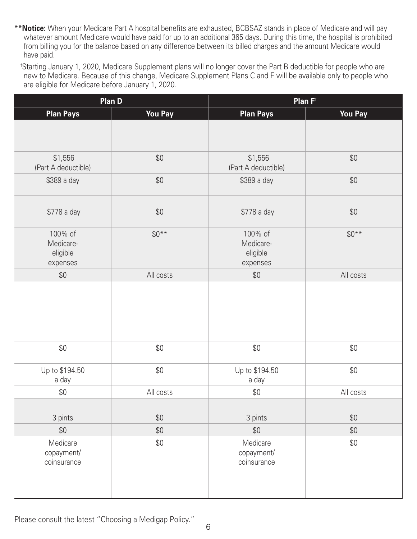\*\***Notice:** When your Medicare Part A hospital benefits are exhausted, BCBSAZ stands in place of Medicare and will pay whatever amount Medicare would have paid for up to an additional 365 days. During this time, the hospital is prohibited from billing you for the balance based on any difference between its billed charges and the amount Medicare would have paid.

 †Starting January 1, 2020, Medicare Supplement plans will no longer cover the Part B deductible for people who are new to Medicare. Because of this change, Medicare Supplement Plans C and F will be available only to people who are eligible for Medicare before January 1, 2020.

|                                              | <b>Plan D</b>  | Plan F <sup>t</sup>                          |                |  |  |  |
|----------------------------------------------|----------------|----------------------------------------------|----------------|--|--|--|
| <b>Plan Pays</b>                             | <b>You Pay</b> | <b>Plan Pays</b>                             | <b>You Pay</b> |  |  |  |
|                                              |                |                                              |                |  |  |  |
| \$1,556<br>(Part A deductible)               | \$0            | \$1,556<br>(Part A deductible)               | \$0            |  |  |  |
| \$389 a day                                  | \$0            | \$389 a day                                  | \$0            |  |  |  |
| \$778 a day                                  | \$0            | \$778 a day                                  | \$0            |  |  |  |
| 100% of<br>Medicare-<br>eligible<br>expenses | $$0***$        | 100% of<br>Medicare-<br>eligible<br>expenses | $$0**$         |  |  |  |
| \$0                                          | All costs      | $$0$$                                        | All costs      |  |  |  |
|                                              |                |                                              |                |  |  |  |
| $$0$$                                        | $$0$$          | \$0                                          | $$0$$          |  |  |  |
| Up to \$194.50<br>a day                      | $$0$$          | Up to \$194.50<br>a day                      | \$0            |  |  |  |
| \$0                                          | All costs      | $$0$$                                        | All costs      |  |  |  |
|                                              |                |                                              |                |  |  |  |
| 3 pints                                      | $$0$$          | 3 pints                                      | $$0$$          |  |  |  |
| $$0$$                                        | $$0$$          | $$0$$                                        | $$0$$          |  |  |  |
| Medicare<br>copayment/<br>coinsurance        | $$0$$          | Medicare<br>copayment/<br>coinsurance        | $$0$$          |  |  |  |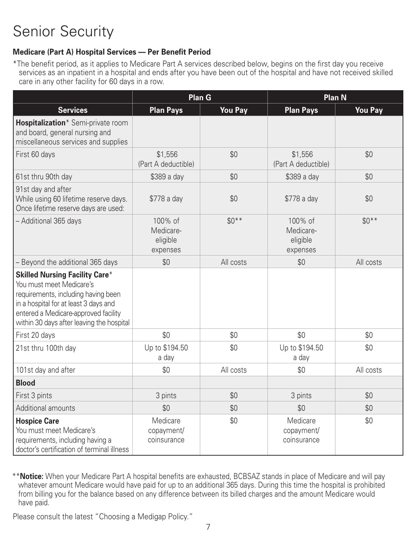### **Medicare (Part A) Hospital Services — Per Benefit Period**

\*The benefit period, as it applies to Medicare Part A services described below, begins on the first day you receive services as an inpatient in a hospital and ends after you have been out of the hospital and have not received skilled care in any other facility for 60 days in a row.

|                                                                                                                                                                                                                                        |                                              | Plan G         |                                              | <b>Plan N</b>  |
|----------------------------------------------------------------------------------------------------------------------------------------------------------------------------------------------------------------------------------------|----------------------------------------------|----------------|----------------------------------------------|----------------|
| <b>Services</b>                                                                                                                                                                                                                        | <b>Plan Pays</b>                             | <b>You Pay</b> | <b>Plan Pays</b>                             | <b>You Pay</b> |
| Hospitalization* Semi-private room<br>and board, general nursing and<br>miscellaneous services and supplies                                                                                                                            |                                              |                |                                              |                |
| First 60 days                                                                                                                                                                                                                          | \$1,556<br>(Part A deductible)               | \$0            | \$1,556<br>(Part A deductible)               | \$0            |
| 61st thru 90th day                                                                                                                                                                                                                     | \$389 a day                                  | \$0            | \$389 a day                                  | \$0            |
| 91st day and after<br>While using 60 lifetime reserve days.<br>Once lifetime reserve days are used:                                                                                                                                    | \$778 a day                                  | \$0            | \$778 a day                                  | \$0            |
| - Additional 365 days                                                                                                                                                                                                                  | 100% of<br>Medicare-<br>eligible<br>expenses | $$0**$$        | 100% of<br>Medicare-<br>eligible<br>expenses | $$0***$        |
| - Beyond the additional 365 days                                                                                                                                                                                                       | \$0                                          | All costs      | \$0                                          | All costs      |
| <b>Skilled Nursing Facility Care*</b><br>You must meet Medicare's<br>requirements, including having been<br>in a hospital for at least 3 days and<br>entered a Medicare-approved facility<br>within 30 days after leaving the hospital |                                              |                |                                              |                |
| First 20 days                                                                                                                                                                                                                          | \$0                                          | \$0            | \$0                                          | \$0            |
| 21st thru 100th day                                                                                                                                                                                                                    | Up to \$194.50<br>a day                      | \$0            | Up to \$194.50<br>a day                      | \$0            |
| 101st day and after                                                                                                                                                                                                                    | \$0                                          | All costs      | \$0                                          | All costs      |
| <b>Blood</b>                                                                                                                                                                                                                           |                                              |                |                                              |                |
| First 3 pints                                                                                                                                                                                                                          | 3 pints                                      | \$0            | 3 pints                                      | \$0            |
| Additional amounts                                                                                                                                                                                                                     | \$0                                          | \$0            | \$0                                          | \$0            |
| <b>Hospice Care</b><br>You must meet Medicare's<br>requirements, including having a<br>doctor's certification of terminal illness                                                                                                      | Medicare<br>copayment/<br>coinsurance        | \$0            | Medicare<br>copayment/<br>coinsurance        | \$0            |

\*\***Notice:** When your Medicare Part A hospital benefits are exhausted, BCBSAZ stands in place of Medicare and will pay whatever amount Medicare would have paid for up to an additional 365 days. During this time the hospital is prohibited from billing you for the balance based on any difference between its billed charges and the amount Medicare would have paid.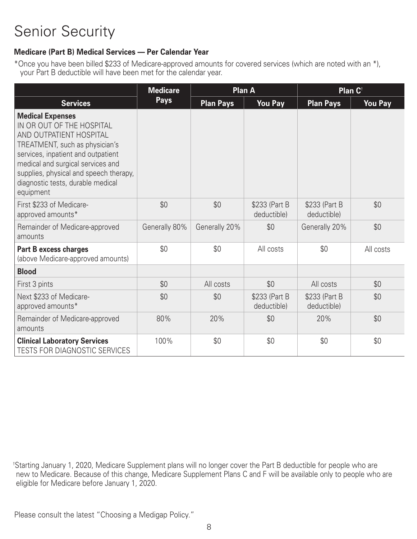#### **Medicare (Part B) Medical Services — Per Calendar Year**

\*Once you have been billed \$233 of Medicare-approved amounts for covered services (which are noted with an \*), your Part B deductible will have been met for the calendar year.

|                                                                                                                                                                                                                                                                                          | <b>Medicare</b> |                  | <b>Plan A</b>                | Plan C <sup>t</sup>          |                |  |
|------------------------------------------------------------------------------------------------------------------------------------------------------------------------------------------------------------------------------------------------------------------------------------------|-----------------|------------------|------------------------------|------------------------------|----------------|--|
| <b>Services</b>                                                                                                                                                                                                                                                                          | <b>Pays</b>     | <b>Plan Pays</b> | <b>You Pay</b>               | <b>Plan Pays</b>             | <b>You Pay</b> |  |
| <b>Medical Expenses</b><br>IN OR OUT OF THE HOSPITAL<br>AND OUTPATIENT HOSPITAL<br>TREATMENT, such as physician's<br>services, inpatient and outpatient<br>medical and surgical services and<br>supplies, physical and speech therapy,<br>diagnostic tests, durable medical<br>equipment |                 |                  |                              |                              |                |  |
| First \$233 of Medicare-<br>approved amounts*                                                                                                                                                                                                                                            | \$0             | \$0              | \$233 (Part B<br>deductible) | \$233 (Part B<br>deductible) | \$0            |  |
| Remainder of Medicare-approved<br>amounts                                                                                                                                                                                                                                                | Generally 80%   | Generally 20%    | \$0                          | Generally 20%                | \$0            |  |
| <b>Part B excess charges</b><br>(above Medicare-approved amounts)                                                                                                                                                                                                                        | \$0             | \$0              | All costs                    | \$0                          | All costs      |  |
| <b>Blood</b>                                                                                                                                                                                                                                                                             |                 |                  |                              |                              |                |  |
| First 3 pints                                                                                                                                                                                                                                                                            | \$0             | All costs        | \$0                          | All costs                    | \$0            |  |
| Next \$233 of Medicare-<br>approved amounts*                                                                                                                                                                                                                                             | \$0             | \$0              | \$233 (Part B<br>deductible) | \$233 (Part B<br>deductible) | \$0            |  |
| Remainder of Medicare-approved<br>amounts                                                                                                                                                                                                                                                | 80%             | 20%              | \$0                          | 20%                          | \$0            |  |
| <b>Clinical Laboratory Services</b><br><b>TESTS FOR DIAGNOSTIC SERVICES</b>                                                                                                                                                                                                              | 100%            | \$0              | \$0                          | \$0                          | \$0            |  |

† Starting January 1, 2020, Medicare Supplement plans will no longer cover the Part B deductible for people who are new to Medicare. Because of this change, Medicare Supplement Plans C and F will be available only to people who are eligible for Medicare before January 1, 2020.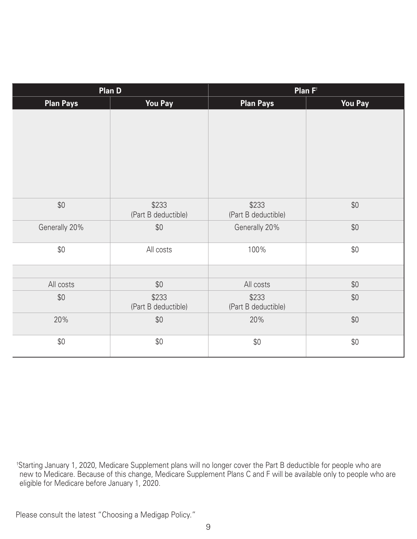|                  | <b>Plan D</b>                |                              | Plan $F^{\dagger}$ |
|------------------|------------------------------|------------------------------|--------------------|
| <b>Plan Pays</b> | <b>You Pay</b>               | <b>Plan Pays</b>             | <b>You Pay</b>     |
|                  |                              |                              |                    |
| $$0$$            | \$233<br>(Part B deductible) | \$233<br>(Part B deductible) | $$0$$              |
| Generally 20%    | \$0                          | Generally 20%                | \$0                |
| \$0              | All costs                    | 100%                         | \$0                |
|                  |                              |                              |                    |
| All costs        | $$0$$                        | All costs                    | $$0$$              |
| \$0              | \$233<br>(Part B deductible) | \$233<br>(Part B deductible) | \$0                |
| 20%              | $$0$$                        | 20%                          | \$0                |
| \$0              | $$0$$                        | \$0                          | $$0$$              |

† Starting January 1, 2020, Medicare Supplement plans will no longer cover the Part B deductible for people who are new to Medicare. Because of this change, Medicare Supplement Plans C and F will be available only to people who are eligible for Medicare before January 1, 2020.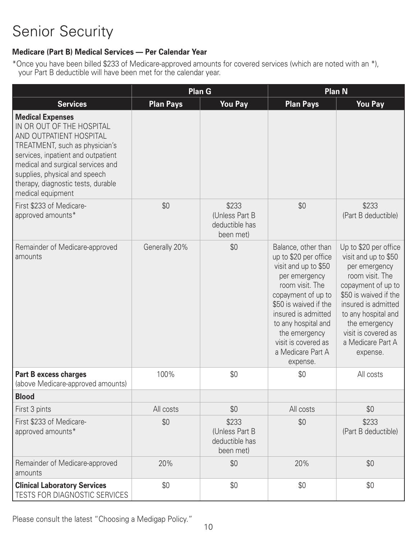### **Medicare (Part B) Medical Services — Per Calendar Year**

\*Once you have been billed \$233 of Medicare-approved amounts for covered services (which are noted with an \*), your Part B deductible will have been met for the calendar year.

|                                                                                                                                                                                                                                                                                          |                  | <b>Plan G</b>                                          | <b>Plan N</b>                                                                                                                                                                                                                                                                  |                                                                                                                                                                                                                                                         |  |  |
|------------------------------------------------------------------------------------------------------------------------------------------------------------------------------------------------------------------------------------------------------------------------------------------|------------------|--------------------------------------------------------|--------------------------------------------------------------------------------------------------------------------------------------------------------------------------------------------------------------------------------------------------------------------------------|---------------------------------------------------------------------------------------------------------------------------------------------------------------------------------------------------------------------------------------------------------|--|--|
| <b>Services</b>                                                                                                                                                                                                                                                                          | <b>Plan Pays</b> | <b>You Pay</b>                                         | <b>Plan Pays</b>                                                                                                                                                                                                                                                               | <b>You Pay</b>                                                                                                                                                                                                                                          |  |  |
| <b>Medical Expenses</b><br>IN OR OUT OF THE HOSPITAL<br>AND OUTPATIENT HOSPITAL<br>TREATMENT, such as physician's<br>services, inpatient and outpatient<br>medical and surgical services and<br>supplies, physical and speech<br>therapy, diagnostic tests, durable<br>medical equipment |                  |                                                        |                                                                                                                                                                                                                                                                                |                                                                                                                                                                                                                                                         |  |  |
| First \$233 of Medicare-<br>approved amounts*                                                                                                                                                                                                                                            | \$0              | \$233<br>(Unless Part B<br>deductible has<br>been met) | \$0                                                                                                                                                                                                                                                                            | \$233<br>(Part B deductible)                                                                                                                                                                                                                            |  |  |
| Remainder of Medicare-approved<br>amounts                                                                                                                                                                                                                                                | Generally 20%    | \$0                                                    | Balance, other than<br>up to \$20 per office<br>visit and up to \$50<br>per emergency<br>room visit. The<br>copayment of up to<br>\$50 is waived if the<br>insured is admitted<br>to any hospital and<br>the emergency<br>visit is covered as<br>a Medicare Part A<br>expense. | Up to \$20 per office<br>visit and up to \$50<br>per emergency<br>room visit. The<br>copayment of up to<br>\$50 is waived if the<br>insured is admitted<br>to any hospital and<br>the emergency<br>visit is covered as<br>a Medicare Part A<br>expense. |  |  |
| <b>Part B excess charges</b><br>(above Medicare-approved amounts)                                                                                                                                                                                                                        | 100%             | \$0                                                    | \$0                                                                                                                                                                                                                                                                            | All costs                                                                                                                                                                                                                                               |  |  |
| <b>Blood</b>                                                                                                                                                                                                                                                                             |                  |                                                        |                                                                                                                                                                                                                                                                                |                                                                                                                                                                                                                                                         |  |  |
| First 3 pints                                                                                                                                                                                                                                                                            | All costs        | \$0                                                    | All costs                                                                                                                                                                                                                                                                      | \$0                                                                                                                                                                                                                                                     |  |  |
| First \$233 of Medicare-<br>approved amounts*                                                                                                                                                                                                                                            | \$0              | \$233<br>(Unless Part B<br>deductible has<br>been met) | \$0                                                                                                                                                                                                                                                                            | \$233<br>(Part B deductible)                                                                                                                                                                                                                            |  |  |
| Remainder of Medicare-approved<br>amounts                                                                                                                                                                                                                                                | 20%              | \$0                                                    | 20%                                                                                                                                                                                                                                                                            | \$0                                                                                                                                                                                                                                                     |  |  |
| <b>Clinical Laboratory Services</b><br>TESTS FOR DIAGNOSTIC SERVICES                                                                                                                                                                                                                     | \$0              | \$0                                                    | \$0                                                                                                                                                                                                                                                                            | \$0                                                                                                                                                                                                                                                     |  |  |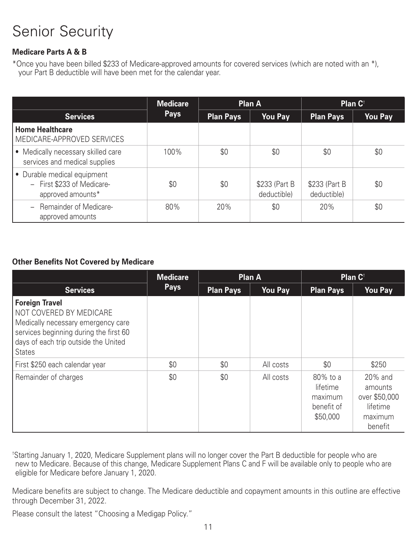### **Medicare Parts A & B**

\*Once you have been billed \$233 of Medicare-approved amounts for covered services (which are noted with an \*), your Part B deductible will have been met for the calendar year.

|                                                                                | <b>Medicare</b> |                  | <b>Plan A</b>                 | Plan C <sup>t</sup>           |                |
|--------------------------------------------------------------------------------|-----------------|------------------|-------------------------------|-------------------------------|----------------|
| <b>Services</b>                                                                | <b>Pays</b>     | <b>Plan Pays</b> | <b>You Pay</b>                | <b>Plan Pays</b>              | <b>You Pay</b> |
| <b>Home Healthcare</b><br>MEDICARE-APPROVED SERVICES                           |                 |                  |                               |                               |                |
| • Medically necessary skilled care<br>services and medical supplies            | 100%            | \$0              | \$0                           | \$0                           | \$0            |
| • Durable medical equipment<br>- First \$233 of Medicare-<br>approved amounts* | \$0             | \$0              | \$233 (Part B)<br>deductible) | \$233 (Part B)<br>deductible) | \$0            |
| <b>Remainder of Medicare-</b><br>$-$<br>approved amounts                       | 80%             | 20%              | \$0                           | 20%                           | \$0            |

#### **Other Benefits Not Covered by Medicare**

|                                                                                                                                                                                           | <b>Medicare</b> | <b>Plan A</b>    |                | Plan C <sup>t</sup>                                       |                                                                       |
|-------------------------------------------------------------------------------------------------------------------------------------------------------------------------------------------|-----------------|------------------|----------------|-----------------------------------------------------------|-----------------------------------------------------------------------|
| <b>Services</b>                                                                                                                                                                           | <b>Pays</b>     | <b>Plan Pays</b> | <b>You Pay</b> | <b>Plan Pays</b>                                          | <b>You Pay</b>                                                        |
| <b>Foreign Travel</b><br>NOT COVERED BY MEDICARE<br>Medically necessary emergency care<br>services beginning during the first 60<br>days of each trip outside the United<br><b>States</b> |                 |                  |                |                                                           |                                                                       |
| First \$250 each calendar year                                                                                                                                                            | \$0             | \$0              | All costs      | \$0                                                       | \$250                                                                 |
| Remainder of charges                                                                                                                                                                      | \$0             | \$0              | All costs      | 80% to a<br>lifetime<br>maximum<br>benefit of<br>\$50,000 | 20% and<br>amounts<br>over \$50,000<br>lifetime<br>maximum<br>benefit |

† Starting January 1, 2020, Medicare Supplement plans will no longer cover the Part B deductible for people who are new to Medicare. Because of this change, Medicare Supplement Plans C and F will be available only to people who are eligible for Medicare before January 1, 2020.

Medicare benefits are subject to change. The Medicare deductible and copayment amounts in this outline are effective through December 31, 2022.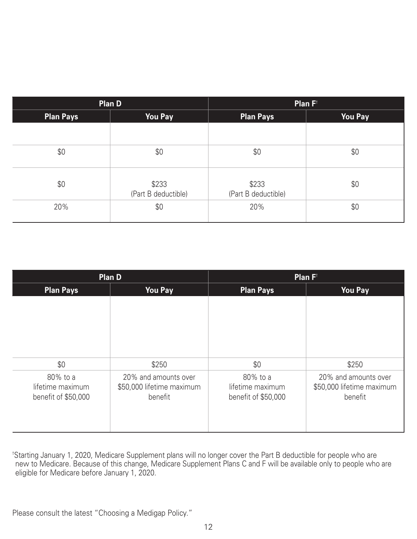| Plan D    |                              | Plan $F^{\dagger}$           |                |  |
|-----------|------------------------------|------------------------------|----------------|--|
| Plan Pays | <b>You Pay</b>               | Plan Pays                    | <b>You Pay</b> |  |
|           |                              |                              |                |  |
| \$0       | \$0                          | \$0                          | \$0            |  |
| \$0       | \$233<br>(Part B deductible) | \$233<br>(Part B deductible) | \$0            |  |
| 20%       | \$0                          | 20%                          | \$0            |  |

| <b>Plan D</b>                                       |                                                              | Plan F <sup>t</sup>                                 |                                                              |  |
|-----------------------------------------------------|--------------------------------------------------------------|-----------------------------------------------------|--------------------------------------------------------------|--|
| <b>Plan Pays</b>                                    | <b>You Pay</b>                                               | <b>Plan Pays</b>                                    | <b>You Pay</b>                                               |  |
|                                                     |                                                              |                                                     |                                                              |  |
| \$0                                                 | \$250                                                        | \$0                                                 | \$250                                                        |  |
| 80% to a<br>lifetime maximum<br>benefit of \$50,000 | 20% and amounts over<br>\$50,000 lifetime maximum<br>benefit | 80% to a<br>lifetime maximum<br>benefit of \$50,000 | 20% and amounts over<br>\$50,000 lifetime maximum<br>benefit |  |

† Starting January 1, 2020, Medicare Supplement plans will no longer cover the Part B deductible for people who are new to Medicare. Because of this change, Medicare Supplement Plans C and F will be available only to people who are eligible for Medicare before January 1, 2020.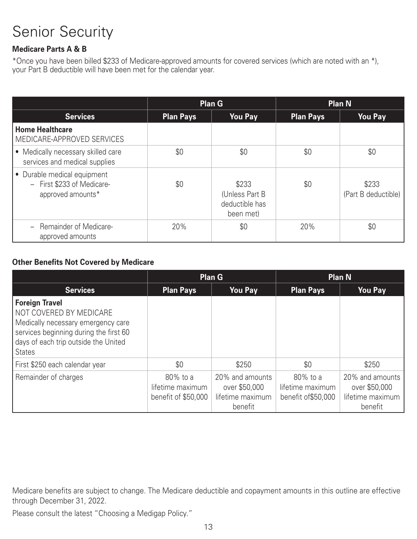### **Medicare Parts A & B**

\*Once you have been billed \$233 of Medicare-approved amounts for covered services (which are noted with an \*), your Part B deductible will have been met for the calendar year.

|                                                                                |                  | <b>Plan G</b>                                           |                  | <b>Plan N</b>                |
|--------------------------------------------------------------------------------|------------------|---------------------------------------------------------|------------------|------------------------------|
| <b>Services</b>                                                                | <b>Plan Pays</b> | <b>You Pay</b>                                          | <b>Plan Pays</b> | <b>You Pay</b>               |
| <b>Home Healthcare</b><br>MEDICARE-APPROVED SERVICES                           |                  |                                                         |                  |                              |
| Medically necessary skilled care<br>services and medical supplies              | \$0              | \$0                                                     | \$0              | \$0                          |
| • Durable medical equipment<br>- First \$233 of Medicare-<br>approved amounts* | \$0              | \$233<br>(Unless Part B)<br>deductible has<br>been met) | \$0              | \$233<br>(Part B deductible) |
| - Remainder of Medicare-<br>approved amounts                                   | 20%              | \$0                                                     | 20%              | \$0                          |

#### **Other Benefits Not Covered by Medicare**

|                                                                                                                                                                                           | <b>Plan G</b>                                       |                                                                 | <b>Plan N</b>                                       |                                                                 |
|-------------------------------------------------------------------------------------------------------------------------------------------------------------------------------------------|-----------------------------------------------------|-----------------------------------------------------------------|-----------------------------------------------------|-----------------------------------------------------------------|
| <b>Services</b>                                                                                                                                                                           | <b>Plan Pays</b>                                    | <b>You Pay</b>                                                  | <b>Plan Pays</b>                                    | <b>You Pay</b>                                                  |
| <b>Foreign Travel</b><br>NOT COVERED BY MEDICARE<br>Medically necessary emergency care<br>services beginning during the first 60<br>days of each trip outside the United<br><b>States</b> |                                                     |                                                                 |                                                     |                                                                 |
| First \$250 each calendar year                                                                                                                                                            | \$0                                                 | \$250                                                           | \$0                                                 | \$250                                                           |
| Remainder of charges                                                                                                                                                                      | 80% to a<br>lifetime maximum<br>benefit of \$50,000 | 20% and amounts<br>over \$50,000<br>lifetime maximum<br>benefit | 80% to a<br>lifetime maximum<br>benefit of \$50,000 | 20% and amounts<br>over \$50,000<br>lifetime maximum<br>benefit |

Medicare benefits are subject to change. The Medicare deductible and copayment amounts in this outline are effective through December 31, 2022.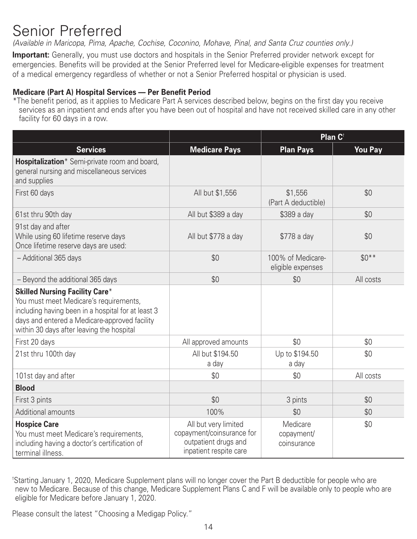# Senior Preferred

*(Available in Maricopa, Pima, Apache, Cochise, Coconino, Mohave, Pinal, and Santa Cruz counties only.)* 

**Important:** Generally, you must use doctors and hospitals in the Senior Preferred provider network except for emergencies. Benefits will be provided at the Senior Preferred level for Medicare-eligible expenses for treatment of a medical emergency regardless of whether or not a Senior Preferred hospital or physician is used.

#### **Medicare (Part A) Hospital Services — Per Benefit Period**

\*The benefit period, as it applies to Medicare Part A services described below, begins on the first day you receive services as an inpatient and ends after you have been out of hospital and have not received skilled care in any other facility for 60 days in a row.

|                                                                                                                                                                                                                                     |                                                                                                     | Plan C <sup>+</sup>                    |                |
|-------------------------------------------------------------------------------------------------------------------------------------------------------------------------------------------------------------------------------------|-----------------------------------------------------------------------------------------------------|----------------------------------------|----------------|
| <b>Services</b>                                                                                                                                                                                                                     | <b>Medicare Pays</b>                                                                                | <b>Plan Pays</b>                       | <b>You Pay</b> |
| Hospitalization* Semi-private room and board,<br>general nursing and miscellaneous services<br>and supplies                                                                                                                         |                                                                                                     |                                        |                |
| First 60 days                                                                                                                                                                                                                       | All but \$1,556                                                                                     | \$1,556<br>(Part A deductible)         | \$0            |
| 61st thru 90th day                                                                                                                                                                                                                  | All but \$389 a day                                                                                 | \$389 a day                            | \$0            |
| 91st day and after<br>While using 60 lifetime reserve days<br>Once lifetime reserve days are used:                                                                                                                                  | All but \$778 a day                                                                                 | \$778 a day                            | \$0            |
| - Additional 365 days                                                                                                                                                                                                               | \$0                                                                                                 | 100% of Medicare-<br>eligible expenses | $$0**$         |
| - Beyond the additional 365 days                                                                                                                                                                                                    | \$0                                                                                                 | \$0                                    | All costs      |
| <b>Skilled Nursing Facility Care*</b><br>You must meet Medicare's requirements,<br>including having been in a hospital for at least 3<br>days and entered a Medicare-approved facility<br>within 30 days after leaving the hospital |                                                                                                     |                                        |                |
| First 20 days                                                                                                                                                                                                                       | All approved amounts                                                                                | \$0                                    | \$0            |
| 21st thru 100th day                                                                                                                                                                                                                 | All but \$194.50<br>a day                                                                           | Up to \$194.50<br>a day                | \$0            |
| 101st day and after                                                                                                                                                                                                                 | \$0                                                                                                 | \$0                                    | All costs      |
| <b>Blood</b>                                                                                                                                                                                                                        |                                                                                                     |                                        |                |
| First 3 pints                                                                                                                                                                                                                       | \$0                                                                                                 | 3 pints                                | \$0            |
| Additional amounts                                                                                                                                                                                                                  | 100%                                                                                                | \$0                                    | \$0            |
| <b>Hospice Care</b><br>You must meet Medicare's requirements,<br>including having a doctor's certification of<br>terminal illness.                                                                                                  | All but very limited<br>copayment/coinsurance for<br>outpatient drugs and<br>inpatient respite care | Medicare<br>copayment/<br>coinsurance  | \$0            |

† Starting January 1, 2020, Medicare Supplement plans will no longer cover the Part B deductible for people who are new to Medicare. Because of this change, Medicare Supplement Plans C and F will be available only to people who are eligible for Medicare before January 1, 2020.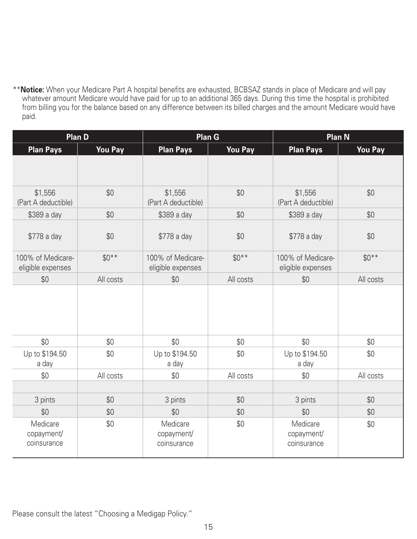\*\***Notice:** When your Medicare Part A hospital benefits are exhausted, BCBSAZ stands in place of Medicare and will pay whatever amount Medicare would have paid for up to an additional 365 days. During this time the hospital is prohibited from billing you for the balance based on any difference between its billed charges and the amount Medicare would have paid.

|                                        | <b>Plan D</b>  |                                        | Plan G         |                                        | <b>Plan N</b>  |
|----------------------------------------|----------------|----------------------------------------|----------------|----------------------------------------|----------------|
| <b>Plan Pays</b>                       | <b>You Pay</b> | <b>Plan Pays</b>                       | <b>You Pay</b> | <b>Plan Pays</b>                       | <b>You Pay</b> |
|                                        |                |                                        |                |                                        |                |
| \$1,556<br>(Part A deductible)         | \$0            | \$1,556<br>(Part A deductible)         | \$0            | \$1,556<br>(Part A deductible)         | \$0            |
| \$389 a day                            | \$0            | \$389 a day                            | \$0            | \$389 a day                            | \$0            |
| \$778 a day                            | \$0            | \$778 a day                            | \$0            | \$778 a day                            | \$0            |
| 100% of Medicare-<br>eligible expenses | $$0***$        | 100% of Medicare-<br>eligible expenses | $$0**$$        | 100% of Medicare-<br>eligible expenses | $$0***$        |
| \$0                                    | All costs      | \$0                                    | All costs      | \$0                                    | All costs      |
|                                        |                |                                        |                |                                        |                |
| \$0                                    | \$0            | \$0                                    | \$0            | \$0                                    | \$0            |
| Up to \$194.50<br>a day                | \$0            | Up to \$194.50<br>a day                | \$0            | Up to \$194.50<br>a day                | \$0            |
| \$0                                    | All costs      | \$0                                    | All costs      | \$0                                    | All costs      |
|                                        |                |                                        |                |                                        |                |
| 3 pints                                | \$0            | 3 pints                                | \$0            | 3 pints                                | \$0            |
| \$0                                    | \$0            | \$0                                    | \$0            | \$0                                    | \$0            |
| Medicare<br>copayment/<br>coinsurance  | \$0            | Medicare<br>copayment/<br>coinsurance  | \$0            | Medicare<br>copayment/<br>coinsurance  | \$0            |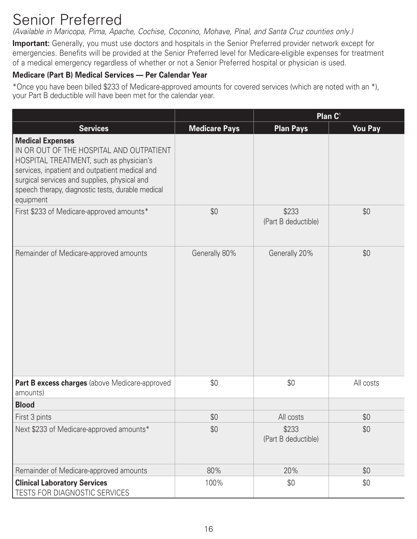# Senior Preferred

*(Available in Maricopa, Pima, Apache, Cochise, Coconino, Mohave, Pinal, and Santa Cruz counties only.)* 

**Important:** Generally, you must use doctors and hospitals in the Senior Preferred provider network except for emergencies. Benefits will be provided at the Senior Preferred level for Medicare-eligible expenses for treatment of a medical emergency regardless of whether or not a Senior Preferred hospital or physician is used.

#### **Medicare (Part B) Medical Services — Per Calendar Year**

\*Once you have been billed \$233 of Medicare-approved amounts for covered services (which are noted with an \*), your Part B deductible will have been met for the calendar year.

|                                                                                                                                                                                                                                                                                    |                      | Plan C <sup>t</sup>          |                |
|------------------------------------------------------------------------------------------------------------------------------------------------------------------------------------------------------------------------------------------------------------------------------------|----------------------|------------------------------|----------------|
| <b>Services</b>                                                                                                                                                                                                                                                                    | <b>Medicare Pays</b> | <b>Plan Pays</b>             | <b>You Pay</b> |
| <b>Medical Expenses</b><br>IN OR OUT OF THE HOSPITAL AND OUTPATIENT<br>HOSPITAL TREATMENT, such as physician's<br>services, inpatient and outpatient medical and<br>surgical services and supplies, physical and<br>speech therapy, diagnostic tests, durable medical<br>equipment |                      |                              |                |
| First \$233 of Medicare-approved amounts*                                                                                                                                                                                                                                          | \$0                  | \$233<br>(Part B deductible) | \$0            |
| Remainder of Medicare-approved amounts                                                                                                                                                                                                                                             | Generally 80%        | Generally 20%                | \$0            |
| Part B excess charges (above Medicare-approved<br>amounts)                                                                                                                                                                                                                         | \$0                  | \$0                          | All costs      |
| <b>Blood</b>                                                                                                                                                                                                                                                                       |                      |                              |                |
| First 3 pints                                                                                                                                                                                                                                                                      | \$0                  | All costs                    | \$0            |
| Next \$233 of Medicare-approved amounts*                                                                                                                                                                                                                                           | \$0                  | \$233<br>(Part B deductible) | \$0            |
| Remainder of Medicare-approved amounts                                                                                                                                                                                                                                             | 80%                  | 20%                          | \$0            |
| <b>Clinical Laboratory Services</b><br>TESTS FOR DIAGNOSTIC SERVICES                                                                                                                                                                                                               | 100%                 | \$0                          | \$0            |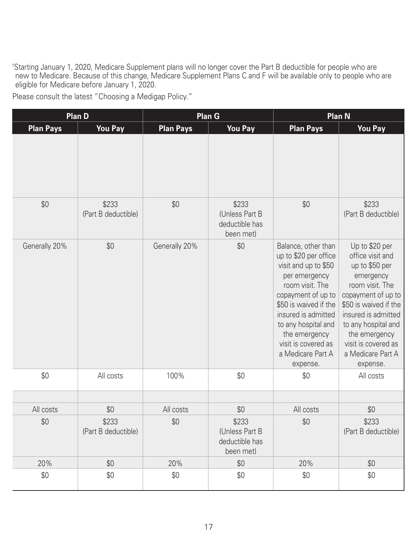† Starting January 1, 2020, Medicare Supplement plans will no longer cover the Part B deductible for people who are new to Medicare. Because of this change, Medicare Supplement Plans C and F will be available only to people who are eligible for Medicare before January 1, 2020.

|                  | Plan D                       |                  | <b>Plan G</b>                                          | <b>Plan N</b>                                                                                                                                                                                                                                                                  |                                                                                                                                                                                                                                                            |
|------------------|------------------------------|------------------|--------------------------------------------------------|--------------------------------------------------------------------------------------------------------------------------------------------------------------------------------------------------------------------------------------------------------------------------------|------------------------------------------------------------------------------------------------------------------------------------------------------------------------------------------------------------------------------------------------------------|
| <b>Plan Pays</b> | <b>You Pay</b>               | <b>Plan Pays</b> | <b>You Pay</b>                                         | <b>Plan Pays</b>                                                                                                                                                                                                                                                               | <b>You Pay</b>                                                                                                                                                                                                                                             |
|                  |                              |                  |                                                        |                                                                                                                                                                                                                                                                                |                                                                                                                                                                                                                                                            |
| \$0              | \$233<br>(Part B deductible) | \$0              | \$233<br>(Unless Part B<br>deductible has<br>been met) | \$0                                                                                                                                                                                                                                                                            | \$233<br>(Part B deductible)                                                                                                                                                                                                                               |
| Generally 20%    | \$0                          | Generally 20%    | \$0                                                    | Balance, other than<br>up to \$20 per office<br>visit and up to \$50<br>per emergency<br>room visit. The<br>copayment of up to<br>\$50 is waived if the<br>insured is admitted<br>to any hospital and<br>the emergency<br>visit is covered as<br>a Medicare Part A<br>expense. | Up to \$20 per<br>office visit and<br>up to \$50 per<br>emergency<br>room visit. The<br>copayment of up to<br>\$50 is waived if the<br>insured is admitted<br>to any hospital and<br>the emergency<br>visit is covered as<br>a Medicare Part A<br>expense. |
| \$0              | All costs                    | 100%             | \$0                                                    | \$0                                                                                                                                                                                                                                                                            | All costs                                                                                                                                                                                                                                                  |
|                  |                              |                  |                                                        |                                                                                                                                                                                                                                                                                |                                                                                                                                                                                                                                                            |
| All costs        | \$0                          | All costs        | \$0                                                    | All costs                                                                                                                                                                                                                                                                      | \$0                                                                                                                                                                                                                                                        |
| \$0              | \$233<br>(Part B deductible) | \$0              | \$233<br>(Unless Part B<br>deductible has<br>been met) | \$0                                                                                                                                                                                                                                                                            | \$233<br>(Part B deductible)                                                                                                                                                                                                                               |
| 20%              | \$0                          | 20%              | \$0                                                    | 20%                                                                                                                                                                                                                                                                            | \$0                                                                                                                                                                                                                                                        |
| \$0              | \$0                          | \$0              | \$0                                                    | \$0                                                                                                                                                                                                                                                                            | \$0                                                                                                                                                                                                                                                        |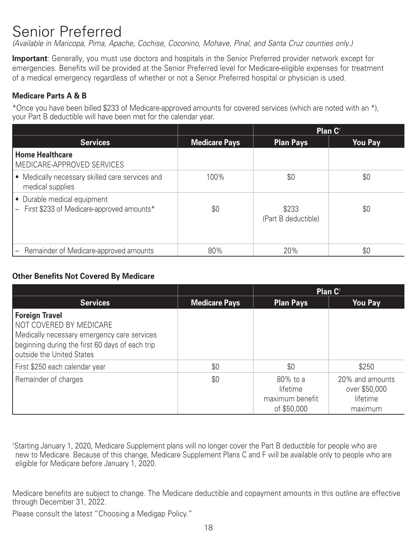# Senior Preferred

*(Available in Maricopa, Pima, Apache, Cochise, Coconino, Mohave, Pinal, and Santa Cruz counties only.)* 

**Important**: Generally, you must use doctors and hospitals in the Senior Preferred provider network except for emergencies. Benefits will be provided at the Senior Preferred level for Medicare-eligible expenses for treatment of a medical emergency regardless of whether or not a Senior Preferred hospital or physician is used.

#### **Medicare Parts A & B**

\*Once you have been billed \$233 of Medicare-approved amounts for covered services (which are noted with an \*), your Part B deductible will have been met for the calendar year.

|                                                                            |                      | Plan C <sup>t</sup>          |                |
|----------------------------------------------------------------------------|----------------------|------------------------------|----------------|
| <b>Services</b>                                                            | <b>Medicare Pays</b> | <b>Plan Pays</b>             | <b>You Pay</b> |
| <b>Home Healthcare</b><br>MEDICARE-APPROVED SERVICES                       |                      |                              |                |
| • Medically necessary skilled care services and<br>medical supplies        | 100%                 | \$0                          | \$0            |
| • Durable medical equipment<br>- First \$233 of Medicare-approved amounts* | \$0                  | \$233<br>(Part B deductible) | \$0            |
| Remainder of Medicare-approved amounts                                     | 80%                  | 20%                          | \$0            |

#### **Other Benefits Not Covered By Medicare**

|                                                                                                                                                                          |                      | Plan C <sup>t</sup>                                    |                                                         |  |
|--------------------------------------------------------------------------------------------------------------------------------------------------------------------------|----------------------|--------------------------------------------------------|---------------------------------------------------------|--|
| <b>Services</b>                                                                                                                                                          | <b>Medicare Pays</b> | <b>Plan Pays</b>                                       | <b>You Pay</b>                                          |  |
| Foreign Travel<br>NOT COVERED BY MEDICARE<br>Medically necessary emergency care services<br>beginning during the first 60 days of each trip<br>outside the United States |                      |                                                        |                                                         |  |
| First \$250 each calendar year                                                                                                                                           | \$0                  | \$0                                                    | \$250                                                   |  |
| Remainder of charges                                                                                                                                                     | \$0                  | 80% to a<br>lifetime<br>maximum benefit<br>of \$50,000 | 20% and amounts<br>over \$50,000<br>lifetime<br>maximum |  |

† Starting January 1, 2020, Medicare Supplement plans will no longer cover the Part B deductible for people who are new to Medicare. Because of this change, Medicare Supplement Plans C and F will be available only to people who are eligible for Medicare before January 1, 2020.

Medicare benefits are subject to change. The Medicare deductible and copayment amounts in this outline are effective through December 31, 2022.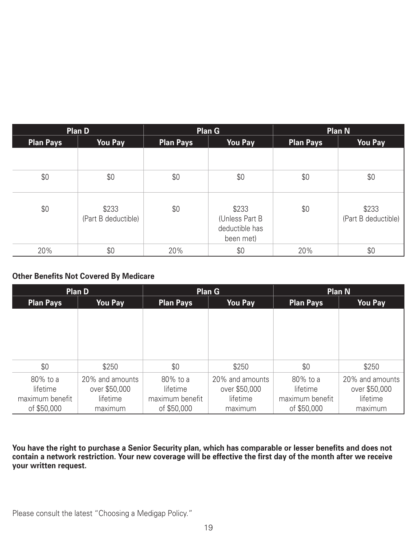|                  | <b>Plan D</b>                |                  | <b>Plan G</b>                                           |           | <b>Plan N</b>                |
|------------------|------------------------------|------------------|---------------------------------------------------------|-----------|------------------------------|
| <b>Plan Pays</b> | <b>You Pay</b>               | <b>Plan Pays</b> | <b>You Pay</b>                                          | Plan Pays | <b>You Pay</b>               |
|                  |                              |                  |                                                         |           |                              |
| \$0              | \$0                          | \$0              | \$0                                                     | \$0       | \$0                          |
| \$0              | \$233<br>(Part B deductible) | \$0              | \$233<br>(Unless Part B)<br>deductible has<br>been met) | \$0       | \$233<br>(Part B deductible) |
| 20%              | \$0                          | 20%              | \$0                                                     | 20%       | \$0                          |

#### **Other Benefits Not Covered By Medicare**

| <b>Plan D</b>    |                 | <b>Plan G</b>    |                 | <b>Plan N</b>    |                 |
|------------------|-----------------|------------------|-----------------|------------------|-----------------|
| <b>Plan Pays</b> | You Pay         | <b>Plan Pays</b> | You Pay         | <b>Plan Pays</b> | <b>You Pay</b>  |
|                  |                 |                  |                 |                  |                 |
|                  |                 |                  |                 |                  |                 |
|                  |                 |                  |                 |                  |                 |
|                  |                 |                  |                 |                  |                 |
|                  |                 |                  |                 |                  |                 |
| \$0              | \$250           | \$0              | \$250           | \$0              | \$250           |
| 80% to a         | 20% and amounts | 80% to a         | 20% and amounts | 80% to a         | 20% and amounts |
| lifetime         | over \$50,000   | lifetime         | over \$50,000   | lifetime         | over \$50,000   |
| maximum benefit  | lifetime        | maximum benefit  | lifetime        | maximum benefit  | lifetime        |
| of \$50,000      | maximum         | of \$50,000      | maximum         | of \$50,000      | maximum         |

**You have the right to purchase a Senior Security plan, which has comparable or lesser benefits and does not contain a network restriction. Your new coverage will be effective the first day of the month after we receive your written request.**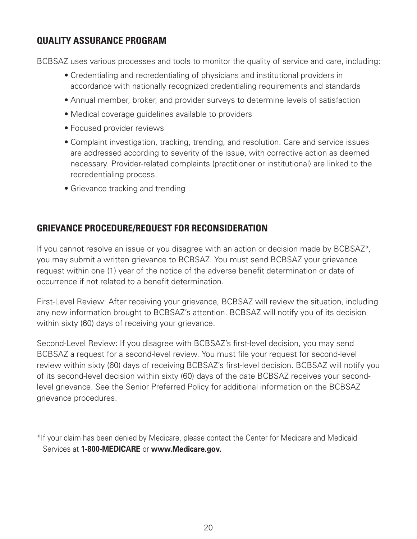### **QUALITY ASSURANCE PROGRAM**

BCBSAZ uses various processes and tools to monitor the quality of service and care, including:

- Credentialing and recredentialing of physicians and institutional providers in accordance with nationally recognized credentialing requirements and standards
- Annual member, broker, and provider surveys to determine levels of satisfaction
- Medical coverage guidelines available to providers
- Focused provider reviews
- Complaint investigation, tracking, trending, and resolution. Care and service issues are addressed according to severity of the issue, with corrective action as deemed necessary. Provider-related complaints (practitioner or institutional) are linked to the recredentialing process.
- Grievance tracking and trending

### **GRIEVANCE PROCEDURE/REQUEST FOR RECONSIDERATION**

If you cannot resolve an issue or you disagree with an action or decision made by BCBSAZ\*, you may submit a written grievance to BCBSAZ. You must send BCBSAZ your grievance request within one (1) year of the notice of the adverse benefit determination or date of occurrence if not related to a benefit determination.

First-Level Review: After receiving your grievance, BCBSAZ will review the situation, including any new information brought to BCBSAZ's attention. BCBSAZ will notify you of its decision within sixty (60) days of receiving your grievance.

Second-Level Review: If you disagree with BCBSAZ's first-level decision, you may send BCBSAZ a request for a second-level review. You must file your request for second-level review within sixty (60) days of receiving BCBSAZ's first-level decision. BCBSAZ will notify you of its second-level decision within sixty (60) days of the date BCBSAZ receives your secondlevel grievance. See the Senior Preferred Policy for additional information on the BCBSAZ grievance procedures.

<sup>\*</sup>If your claim has been denied by Medicare, please contact the Center for Medicare and Medicaid Services at **1-800-MEDICARE** or **www.Medicare.gov.**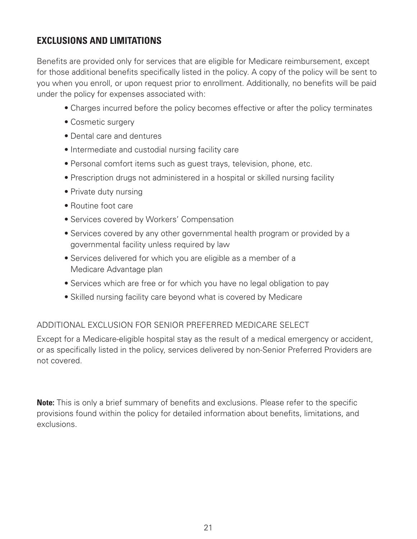### **EXCLUSIONS AND LIMITATIONS**

Benefits are provided only for services that are eligible for Medicare reimbursement, except for those additional benefits specifically listed in the policy. A copy of the policy will be sent to you when you enroll, or upon request prior to enrollment. Additionally, no benefits will be paid under the policy for expenses associated with:

- Charges incurred before the policy becomes effective or after the policy terminates
- Cosmetic surgery
- Dental care and dentures
- Intermediate and custodial nursing facility care
- Personal comfort items such as guest trays, television, phone, etc.
- Prescription drugs not administered in a hospital or skilled nursing facility
- Private duty nursing
- Routine foot care
- Services covered by Workers' Compensation
- Services covered by any other governmental health program or provided by a governmental facility unless required by law
- Services delivered for which you are eligible as a member of a Medicare Advantage plan
- Services which are free or for which you have no legal obligation to pay
- Skilled nursing facility care beyond what is covered by Medicare

### ADDITIONAL EXCLUSION FOR SENIOR PREFERRED MEDICARE SELECT

Except for a Medicare-eligible hospital stay as the result of a medical emergency or accident, or as specifically listed in the policy, services delivered by non-Senior Preferred Providers are not covered.

**Note:** This is only a brief summary of benefits and exclusions. Please refer to the specific provisions found within the policy for detailed information about benefits, limitations, and exclusions.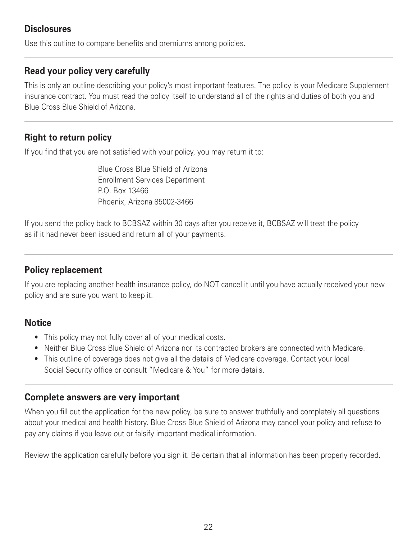### **Disclosures**

Use this outline to compare benefits and premiums among policies.

### **Read your policy very carefully**

This is only an outline describing your policy's most important features. The policy is your Medicare Supplement insurance contract. You must read the policy itself to understand all of the rights and duties of both you and Blue Cross Blue Shield of Arizona.

### **Right to return policy**

If you find that you are not satisfied with your policy, you may return it to:

Blue Cross Blue Shield of Arizona Enrollment Services Department P.O. Box 13466 Phoenix, Arizona 85002-3466

If you send the policy back to BCBSAZ within 30 days after you receive it, BCBSAZ will treat the policy as if it had never been issued and return all of your payments.

### **Policy replacement**

If you are replacing another health insurance policy, do NOT cancel it until you have actually received your new policy and are sure you want to keep it.

### **Notice**

- This policy may not fully cover all of your medical costs.
- Neither Blue Cross Blue Shield of Arizona nor its contracted brokers are connected with Medicare.
- This outline of coverage does not give all the details of Medicare coverage. Contact your local Social Security office or consult "Medicare & You" for more details.

### **Complete answers are very important**

When you fill out the application for the new policy, be sure to answer truthfully and completely all questions about your medical and health history. Blue Cross Blue Shield of Arizona may cancel your policy and refuse to pay any claims if you leave out or falsify important medical information.

Review the application carefully before you sign it. Be certain that all information has been properly recorded.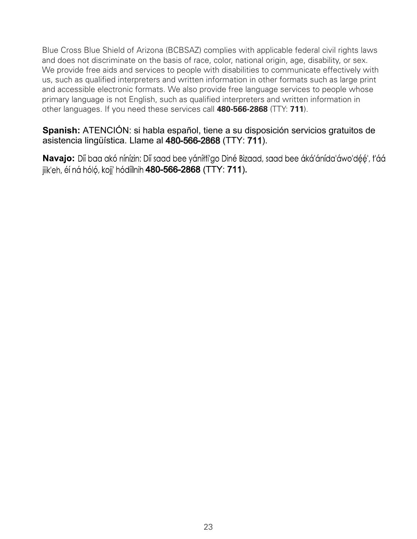Blue Cross Blue Shield of Arizona (BCBSAZ) complies with applicable federal civil rights laws and does not discriminate on the basis of race, color, national origin, age, disability, or sex. We provide free aids and services to people with disabilities to communicate effectively with us, such as qualified interpreters and written information in other formats such as large print and accessible electronic formats. We also provide free language services to people whose primary language is not English, such as qualified interpreters and written information in other languages. If you need these services call **480-566-2868** (TTY: **711**).

### **Spanish:** ATENCIÓN: si habla español, tiene a su disposición servicios gratuitos de asistencia lingüística. Llame al 480-566-2868(TTY: 711).

**Navajo:** Díí bag akó nínízin: Díí sagd bee yánítti'go Diné Bizagd, sagd bee áká'ánída'áwo'déé', t'áá jiik'eh, éí ná hóló, kojj' hódíílnih 480-566-2868 (TTY: 711).